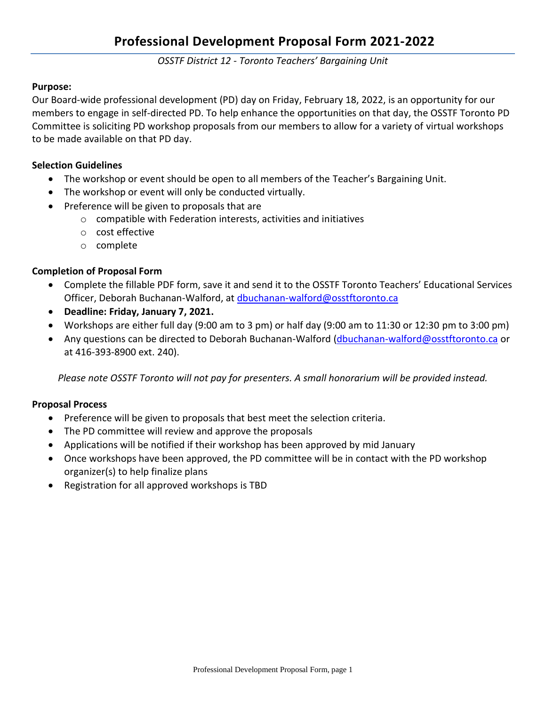*OSSTF District 12 - Toronto Teachers' Bargaining Unit*

## **Purpose:**

Our Board-wide professional development (PD) day on Friday, February 18, 2022, is an opportunity for our members to engage in self-directed PD. To help enhance the opportunities on that day, the OSSTF Toronto PD Committee is soliciting PD workshop proposals from our members to allow for a variety of virtual workshops to be made available on that PD day.

## **Selection Guidelines**

- The workshop or event should be open to all members of the Teacher's Bargaining Unit.
- The workshop or event will only be conducted virtually.
- Preference will be given to proposals that are
	- o compatible with Federation interests, activities and initiatives
	- o cost effective
	- o complete

## **Completion of Proposal Form**

- Complete the fillable PDF form, save it and send it to the OSSTF Toronto Teachers' Educational Services Officer, Deborah Buchanan-Walford, a[t dbuchanan-walford@osstftoronto.ca](mailto:dbuchanan-walford@osstftoronto.ca)
- **Deadline: Friday, January 7, 2021.**
- Workshops are either full day (9:00 am to 3 pm) or half day (9:00 am to 11:30 or 12:30 pm to 3:00 pm)
- Any questions can be directed to Deborah Buchanan-Walford [\(dbuchanan-walford@osstftoronto.ca](mailto:dbuchanan-walford@osstftoronto.ca) or at 416-393-8900 ext. 240).

*Please note OSSTF Toronto will not pay for presenters. A small honorarium will be provided instead.*

## **Proposal Process**

- Preference will be given to proposals that best meet the selection criteria.
- The PD committee will review and approve the proposals
- Applications will be notified if their workshop has been approved by mid January
- Once workshops have been approved, the PD committee will be in contact with the PD workshop organizer(s) to help finalize plans
- Registration for all approved workshops is TBD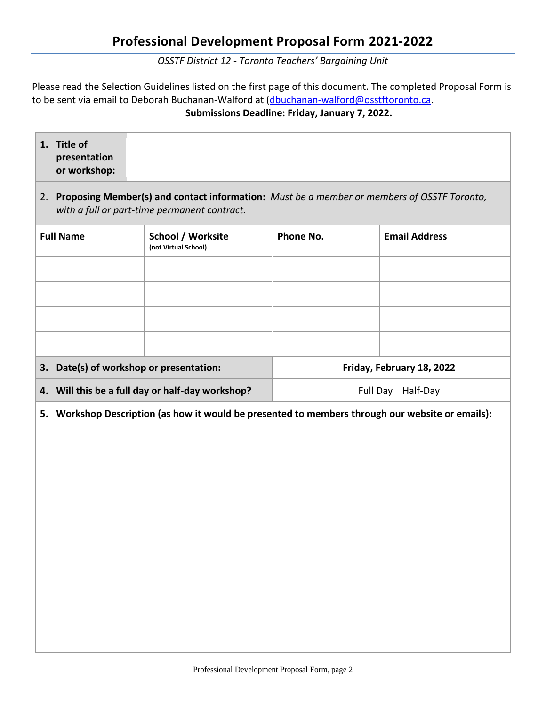*OSSTF District 12 - Toronto Teachers' Bargaining Unit*

Please read the Selection Guidelines listed on the first page of this document. The completed Proposal Form is to be sent via email to Deborah Buchanan-Walford at [\(dbuchanan-walford@osstftoronto.ca.](mailto:dbuchanan-walford@osstftoronto.ca) **Submissions Deadline: Friday, January 7, 2022.**

| 1. Title of<br>presentation<br>or workshop:                                                                                                   |                                           |                           |                      |  |  |  |  |
|-----------------------------------------------------------------------------------------------------------------------------------------------|-------------------------------------------|---------------------------|----------------------|--|--|--|--|
| 2. Proposing Member(s) and contact information: Must be a member or members of OSSTF Toronto,<br>with a full or part-time permanent contract. |                                           |                           |                      |  |  |  |  |
| <b>Full Name</b>                                                                                                                              | School / Worksite<br>(not Virtual School) | Phone No.                 | <b>Email Address</b> |  |  |  |  |
|                                                                                                                                               |                                           |                           |                      |  |  |  |  |
|                                                                                                                                               |                                           |                           |                      |  |  |  |  |
|                                                                                                                                               |                                           |                           |                      |  |  |  |  |
|                                                                                                                                               |                                           |                           |                      |  |  |  |  |
| 3. Date(s) of workshop or presentation:                                                                                                       |                                           | Friday, February 18, 2022 |                      |  |  |  |  |
| 4. Will this be a full day or half-day workshop?                                                                                              |                                           | Full Day Half-Day         |                      |  |  |  |  |
| Maulisham Bassulistlan (os hairi lt riisrild ha musa<br>والمستحققه والمربرة والمرار ومسواله المسموا                                           |                                           |                           |                      |  |  |  |  |

**5. Workshop Description (as how it would be presented to members through our website or emails):**